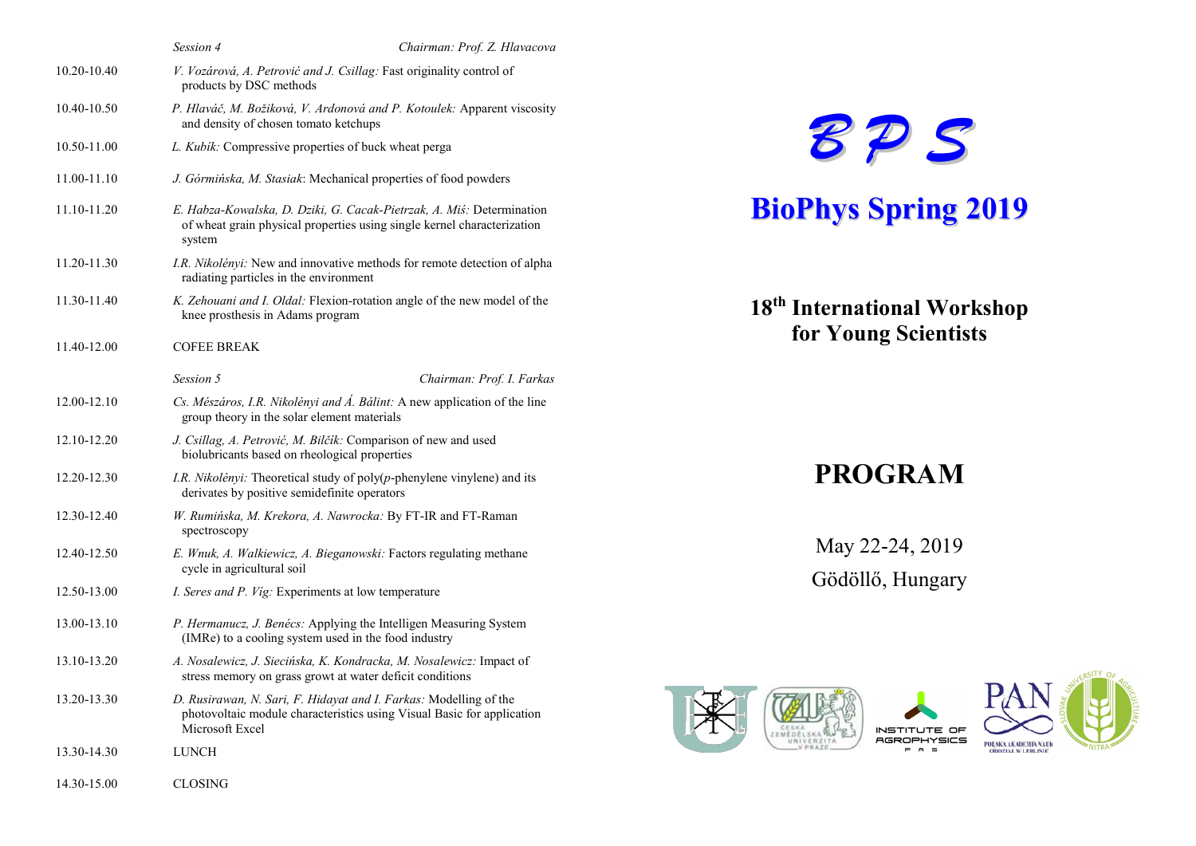|             | Session 4                                                                                                        | Chairman: Prof. Z. Hlavacova                                                                                                                     |  |
|-------------|------------------------------------------------------------------------------------------------------------------|--------------------------------------------------------------------------------------------------------------------------------------------------|--|
| 10.20-10.40 | products by DSC methods                                                                                          | V. Vozárová, A. Petrović and J. Csillag: Fast originality control of                                                                             |  |
| 10.40-10.50 | P. Hlaváč, M. Božiková, V. Ardonová and P. Kotoulek: Apparent viscosity<br>and density of chosen tomato ketchups |                                                                                                                                                  |  |
| 10.50-11.00 | L. Kubik: Compressive properties of buck wheat perga                                                             |                                                                                                                                                  |  |
| 11.00-11.10 |                                                                                                                  | J. Górmińska, M. Stasiak: Mechanical properties of food powders                                                                                  |  |
| 11.10-11.20 | system                                                                                                           | E. Habza-Kowalska, D. Dziki, G. Cacak-Pietrzak, A. Miś: Determination<br>of wheat grain physical properties using single kernel characterization |  |
| 11.20-11.30 | radiating particles in the environment                                                                           | I.R. Nikolényi: New and innovative methods for remote detection of alpha                                                                         |  |
| 11.30-11.40 | knee prosthesis in Adams program                                                                                 | K. Zehouani and I. Oldal: Flexion-rotation angle of the new model of the                                                                         |  |
| 11.40-12.00 | <b>COFEE BREAK</b>                                                                                               |                                                                                                                                                  |  |
|             | Session 5                                                                                                        | Chairman: Prof. I. Farkas                                                                                                                        |  |
| 12.00-12.10 | group theory in the solar element materials                                                                      | Cs. Mészáros, I.R. Nikolényi and Á. Bálint: A new application of the line                                                                        |  |
| 12.10-12.20 | biolubricants based on rheological properties                                                                    | J. Csillag, A. Petrović, M. Bilčík: Comparison of new and used                                                                                   |  |
| 12.20-12.30 | derivates by positive semidefinite operators                                                                     | I.R. Nikolényi: Theoretical study of poly(p-phenylene vinylene) and its                                                                          |  |
| 12.30-12.40 | spectroscopy                                                                                                     | W. Rumińska, M. Krekora, A. Nawrocka: By FT-IR and FT-Raman                                                                                      |  |
| 12.40-12.50 | cycle in agricultural soil                                                                                       | E. Wnuk, A. Walkiewicz, A. Bieganowski: Factors regulating methane                                                                               |  |
| 12.50-13.00 | I. Seres and P. Vig: Experiments at low temperature                                                              |                                                                                                                                                  |  |
| 13.00-13.10 |                                                                                                                  | P. Hermanucz, J. Benécs: Applying the Intelligen Measuring System<br>(IMRe) to a cooling system used in the food industry                        |  |
| 13.10-13.20 |                                                                                                                  | A. Nosalewicz, J. Siecińska, K. Kondracka, M. Nosalewicz: Impact of<br>stress memory on grass growt at water deficit conditions                  |  |
| 13.20-13.30 | Microsoft Excel                                                                                                  | D. Rusirawan, N. Sari, F. Hidayat and I. Farkas: Modelling of the<br>photovoltaic module characteristics using Visual Basic for application      |  |
| 13.30-14.30 | LUNCH                                                                                                            |                                                                                                                                                  |  |
| 14.30-15.00 | <b>CLOSING</b>                                                                                                   |                                                                                                                                                  |  |



# BioPhys Spring 2019

18th International Workshop for Young Scientists

## PROGRAM

May 22-24, 2019 Gödöllő, Hungary